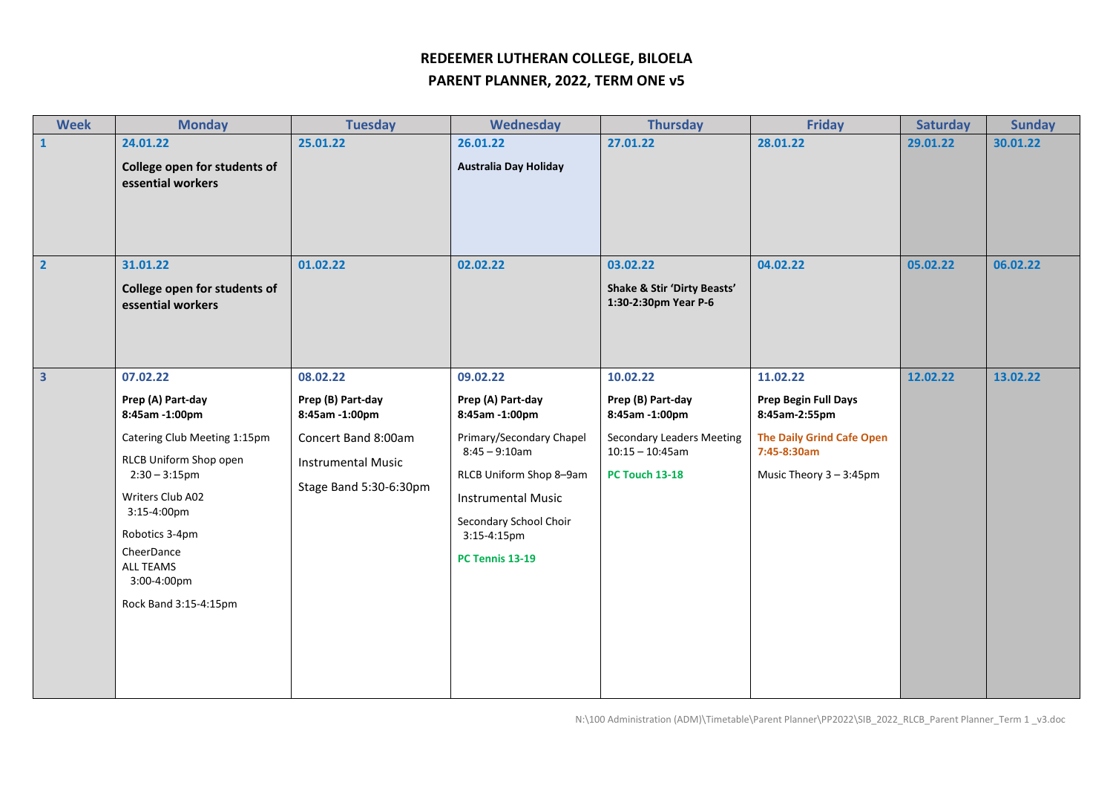## **REDEEMER LUTHERAN COLLEGE, BILOELA**

## **PARENT PLANNER, 2022, TERM ONE v5**

| <b>Week</b>             | <b>Monday</b>                                                                                                                                                                                                                                         | <b>Tuesday</b>                                                                                                                | Wednesday                                                                                                                                                                                                                 | <b>Thursday</b>                                                                                                                    | <b>Friday</b>                                                                                                                   | <b>Saturday</b> | <b>Sunday</b> |
|-------------------------|-------------------------------------------------------------------------------------------------------------------------------------------------------------------------------------------------------------------------------------------------------|-------------------------------------------------------------------------------------------------------------------------------|---------------------------------------------------------------------------------------------------------------------------------------------------------------------------------------------------------------------------|------------------------------------------------------------------------------------------------------------------------------------|---------------------------------------------------------------------------------------------------------------------------------|-----------------|---------------|
| $\mathbf{1}$            | 24.01.22<br>College open for students of<br>essential workers                                                                                                                                                                                         | 25.01.22                                                                                                                      | 26.01.22<br><b>Australia Day Holiday</b>                                                                                                                                                                                  | 27.01.22                                                                                                                           | 28.01.22                                                                                                                        | 29.01.22        | 30.01.22      |
| $\overline{2}$          | 31.01.22<br>College open for students of<br>essential workers                                                                                                                                                                                         | 01.02.22                                                                                                                      | 02.02.22                                                                                                                                                                                                                  | 03.02.22<br>Shake & Stir 'Dirty Beasts'<br>1:30-2:30pm Year P-6                                                                    | 04.02.22                                                                                                                        | 05.02.22        | 06.02.22      |
| $\overline{\mathbf{3}}$ | 07.02.22<br>Prep (A) Part-day<br>8:45am -1:00pm<br>Catering Club Meeting 1:15pm<br>RLCB Uniform Shop open<br>$2:30 - 3:15$ pm<br>Writers Club A02<br>3:15-4:00pm<br>Robotics 3-4pm<br>CheerDance<br>ALL TEAMS<br>3:00-4:00pm<br>Rock Band 3:15-4:15pm | 08.02.22<br>Prep (B) Part-day<br>8:45am -1:00pm<br>Concert Band 8:00am<br><b>Instrumental Music</b><br>Stage Band 5:30-6:30pm | 09.02.22<br>Prep (A) Part-day<br>8:45am -1:00pm<br>Primary/Secondary Chapel<br>$8:45 - 9:10am$<br>RLCB Uniform Shop 8-9am<br><b>Instrumental Music</b><br>Secondary School Choir<br>3:15-4:15pm<br><b>PC Tennis 13-19</b> | 10.02.22<br>Prep (B) Part-day<br>8:45am -1:00pm<br><b>Secondary Leaders Meeting</b><br>$10:15 - 10:45$ am<br><b>PC Touch 13-18</b> | 11.02.22<br>Prep Begin Full Days<br>8:45am-2:55pm<br><b>The Daily Grind Cafe Open</b><br>7:45-8:30am<br>Music Theory 3 - 3:45pm | 12.02.22        | 13.02.22      |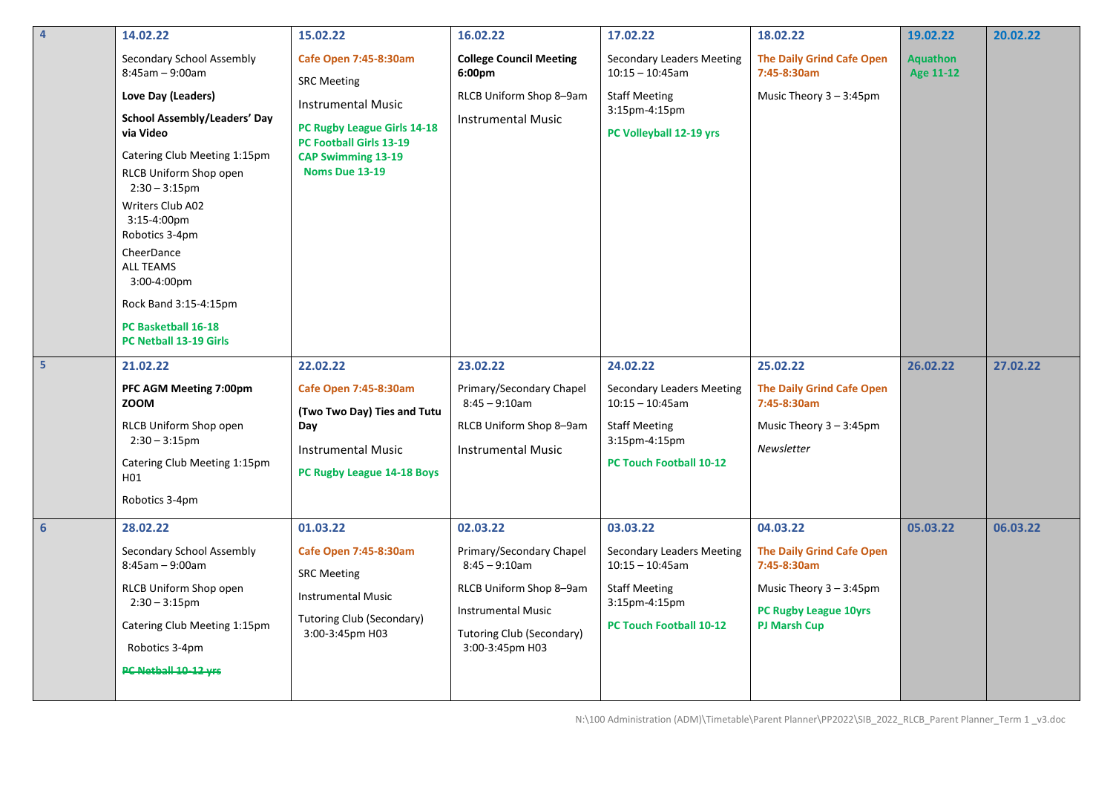| $\overline{4}$ | 14.02.22                                                                                                                                                                                                                                                                                                                                                                               | 15.02.22                                                                                                                                                                                 | 16.02.22                                                                                                                                                                | 17.02.22                                                                                                                                      | 18.02.22                                                                                                                                  | 19.02.22                            | 20.02.22 |
|----------------|----------------------------------------------------------------------------------------------------------------------------------------------------------------------------------------------------------------------------------------------------------------------------------------------------------------------------------------------------------------------------------------|------------------------------------------------------------------------------------------------------------------------------------------------------------------------------------------|-------------------------------------------------------------------------------------------------------------------------------------------------------------------------|-----------------------------------------------------------------------------------------------------------------------------------------------|-------------------------------------------------------------------------------------------------------------------------------------------|-------------------------------------|----------|
|                | Secondary School Assembly<br>$8:45am - 9:00am$<br>Love Day (Leaders)<br><b>School Assembly/Leaders' Day</b><br>via Video<br>Catering Club Meeting 1:15pm<br>RLCB Uniform Shop open<br>$2:30 - 3:15$ pm<br>Writers Club A02<br>3:15-4:00pm<br>Robotics 3-4pm<br>CheerDance<br><b>ALL TEAMS</b><br>3:00-4:00pm<br>Rock Band 3:15-4:15pm<br>PC Basketball 16-18<br>PC Netball 13-19 Girls | <b>Cafe Open 7:45-8:30am</b><br><b>SRC Meeting</b><br><b>Instrumental Music</b><br>PC Rugby League Girls 14-18<br>PC Football Girls 13-19<br><b>CAP Swimming 13-19</b><br>Noms Due 13-19 | <b>College Council Meeting</b><br>6:00pm<br>RLCB Uniform Shop 8-9am<br><b>Instrumental Music</b>                                                                        | <b>Secondary Leaders Meeting</b><br>$10:15 - 10:45$ am<br><b>Staff Meeting</b><br>3:15pm-4:15pm<br>PC Volleyball 12-19 yrs                    | <b>The Daily Grind Cafe Open</b><br>7:45-8:30am<br>Music Theory 3 - 3:45pm                                                                | <b>Aquathon</b><br><b>Age 11-12</b> |          |
| 5 <sup>1</sup> | 21.02.22<br>PFC AGM Meeting 7:00pm<br><b>ZOOM</b><br>RLCB Uniform Shop open<br>$2:30 - 3:15$ pm<br>Catering Club Meeting 1:15pm<br>H01<br>Robotics 3-4pm                                                                                                                                                                                                                               | 22.02.22<br><b>Cafe Open 7:45-8:30am</b><br>(Two Two Day) Ties and Tutu<br>Day<br><b>Instrumental Music</b><br>PC Rugby League 14-18 Boys                                                | 23.02.22<br>Primary/Secondary Chapel<br>$8:45 - 9:10am$<br>RLCB Uniform Shop 8-9am<br><b>Instrumental Music</b>                                                         | 24.02.22<br>Secondary Leaders Meeting<br>$10:15 - 10:45$ am<br><b>Staff Meeting</b><br>3:15pm-4:15pm<br><b>PC Touch Football 10-12</b>        | 25.02.22<br><b>The Daily Grind Cafe Open</b><br>7:45-8:30am<br>Music Theory $3 - 3:45$ pm<br>Newsletter                                   | 26.02.22                            | 27.02.22 |
| 6 <sup>1</sup> | 28.02.22<br>Secondary School Assembly<br>$8:45am - 9:00am$<br>RLCB Uniform Shop open<br>$2:30 - 3:15$ pm<br>Catering Club Meeting 1:15pm<br>Robotics 3-4pm<br>PC Netball 10 12 yrs                                                                                                                                                                                                     | 01.03.22<br>Cafe Open 7:45-8:30am<br><b>SRC Meeting</b><br><b>Instrumental Music</b><br><b>Tutoring Club (Secondary)</b><br>3:00-3:45pm H03                                              | 02.03.22<br>Primary/Secondary Chapel<br>$8:45 - 9:10$ am<br>RLCB Uniform Shop 8-9am<br><b>Instrumental Music</b><br><b>Tutoring Club (Secondary)</b><br>3:00-3:45pm H03 | 03.03.22<br><b>Secondary Leaders Meeting</b><br>$10:15 - 10:45$ am<br><b>Staff Meeting</b><br>3:15pm-4:15pm<br><b>PC Touch Football 10-12</b> | 04.03.22<br><b>The Daily Grind Cafe Open</b><br>7:45-8:30am<br>Music Theory $3 - 3:45$ pm<br>PC Rugby League 10yrs<br><b>PJ Marsh Cup</b> | 05.03.22                            | 06.03.22 |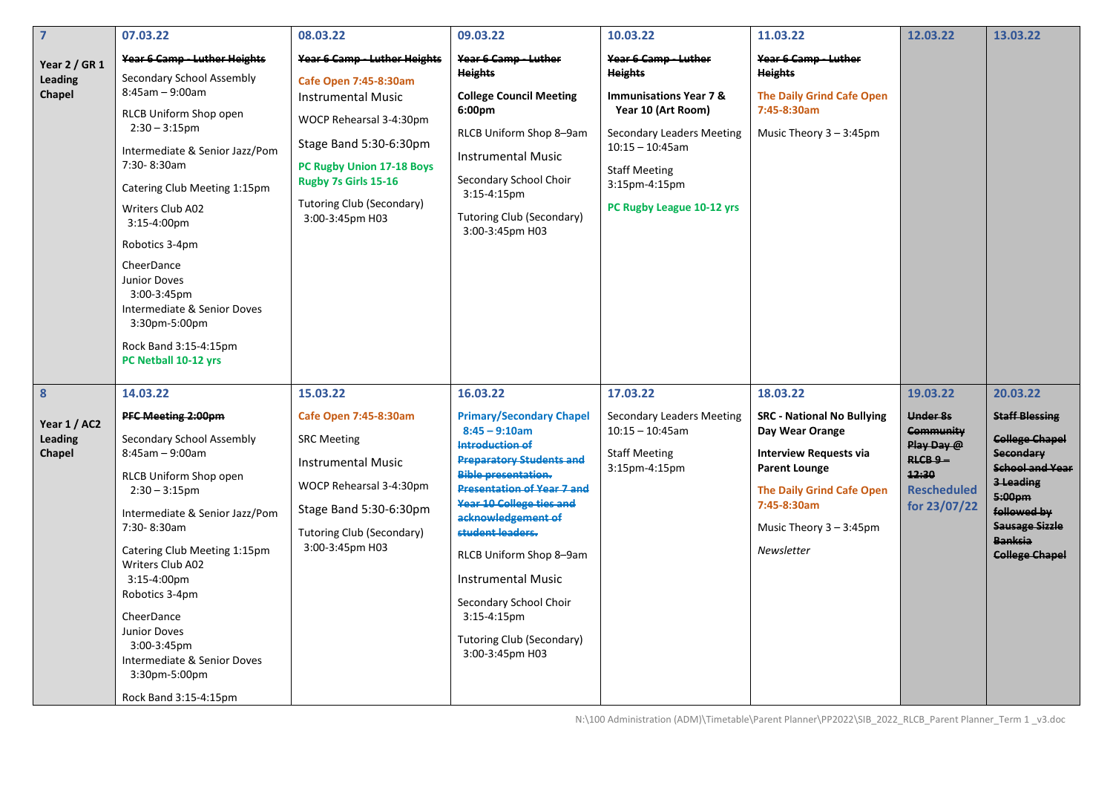| $\overline{7}$                         | 07.03.22                                                                                                                                                                                                                                                                                                                                                                                                                 | 08.03.22                                                                                                                                                                                                                                     | 09.03.22                                                                                                                                                                                                                                                                                                                                                                                                                 | 10.03.22                                                                                                                                                                                                                          | 11.03.22                                                                                                                                                                                                              | 12.03.22                                                                                                  | 13.03.22                                                                                                                                                                                             |
|----------------------------------------|--------------------------------------------------------------------------------------------------------------------------------------------------------------------------------------------------------------------------------------------------------------------------------------------------------------------------------------------------------------------------------------------------------------------------|----------------------------------------------------------------------------------------------------------------------------------------------------------------------------------------------------------------------------------------------|--------------------------------------------------------------------------------------------------------------------------------------------------------------------------------------------------------------------------------------------------------------------------------------------------------------------------------------------------------------------------------------------------------------------------|-----------------------------------------------------------------------------------------------------------------------------------------------------------------------------------------------------------------------------------|-----------------------------------------------------------------------------------------------------------------------------------------------------------------------------------------------------------------------|-----------------------------------------------------------------------------------------------------------|------------------------------------------------------------------------------------------------------------------------------------------------------------------------------------------------------|
| Year 2 / GR 1<br>Leading<br>Chapel     | Year 6 Camp - Luther Heights<br>Secondary School Assembly<br>$8:45$ am - 9:00am<br>RLCB Uniform Shop open<br>$2:30 - 3:15$ pm<br>Intermediate & Senior Jazz/Pom<br>7:30-8:30am<br>Catering Club Meeting 1:15pm<br>Writers Club A02<br>3:15-4:00pm<br>Robotics 3-4pm<br>CheerDance<br><b>Junior Doves</b><br>3:00-3:45pm<br>Intermediate & Senior Doves<br>3:30pm-5:00pm<br>Rock Band 3:15-4:15pm<br>PC Netball 10-12 yrs | Year 6 Camp - Luther Heights<br>Cafe Open 7:45-8:30am<br><b>Instrumental Music</b><br>WOCP Rehearsal 3-4:30pm<br>Stage Band 5:30-6:30pm<br>PC Rugby Union 17-18 Boys<br>Rugby 7s Girls 15-16<br>Tutoring Club (Secondary)<br>3:00-3:45pm H03 | Year 6 Camp - Luther<br><b>Heights</b><br><b>College Council Meeting</b><br>6:00pm<br>RLCB Uniform Shop 8-9am<br><b>Instrumental Music</b><br>Secondary School Choir<br>$3:15-4:15$ pm<br><b>Tutoring Club (Secondary)</b><br>3:00-3:45pm H03                                                                                                                                                                            | Year 6 Camp - Luther<br><b>Heights</b><br><b>Immunisations Year 7 &amp;</b><br>Year 10 (Art Room)<br><b>Secondary Leaders Meeting</b><br>$10:15 - 10:45$ am<br><b>Staff Meeting</b><br>3:15pm-4:15pm<br>PC Rugby League 10-12 yrs | Year 6 Camp - Luther<br><b>Heights</b><br><b>The Daily Grind Cafe Open</b><br>7:45-8:30am<br>Music Theory 3 - 3:45pm                                                                                                  |                                                                                                           |                                                                                                                                                                                                      |
| 8<br>Year 1 / AC2<br>Leading<br>Chapel | 14.03.22<br><b>PFC Meeting 2:00pm</b><br>Secondary School Assembly<br>$8:45am - 9:00am$<br>RLCB Uniform Shop open<br>$2:30 - 3:15$ pm<br>Intermediate & Senior Jazz/Pom<br>7:30-8:30am<br>Catering Club Meeting 1:15pm<br>Writers Club A02<br>3:15-4:00pm<br>Robotics 3-4pm<br>CheerDance<br><b>Junior Doves</b><br>3:00-3:45pm<br>Intermediate & Senior Doves<br>3:30pm-5:00pm<br>Rock Band 3:15-4:15pm                 | 15.03.22<br>Cafe Open 7:45-8:30am<br><b>SRC Meeting</b><br><b>Instrumental Music</b><br>WOCP Rehearsal 3-4:30pm<br>Stage Band 5:30-6:30pm<br><b>Tutoring Club (Secondary)</b><br>3:00-3:45pm H03                                             | 16.03.22<br><b>Primary/Secondary Chapel</b><br>$8:45 - 9:10am$<br>Introduction of<br><b>Preparatory Students and</b><br><b>Bible presentation.</b><br><b>Presentation of Year 7 and</b><br>Year 10 College ties and<br>acknowledgement of<br>student leaders.<br>RLCB Uniform Shop 8-9am<br><b>Instrumental Music</b><br>Secondary School Choir<br>$3:15-4:15$ pm<br><b>Tutoring Club (Secondary)</b><br>3:00-3:45pm H03 | 17.03.22<br><b>Secondary Leaders Meeting</b><br>$10:15 - 10:45$ am<br><b>Staff Meeting</b><br>3:15pm-4:15pm                                                                                                                       | 18.03.22<br><b>SRC - National No Bullying</b><br>Day Wear Orange<br><b>Interview Requests via</b><br><b>Parent Lounge</b><br><b>The Daily Grind Cafe Open</b><br>7:45-8:30am<br>Music Theory 3 - 3:45pm<br>Newsletter | 19.03.22<br>Under 8s<br>Community<br>Play Day @<br>RLCB 9-<br>12:30<br><b>Rescheduled</b><br>for 23/07/22 | 20.03.22<br><b>Staff Blessing</b><br><b>College Chapel</b><br><b>Secondary</b><br>School and Year<br>3 Leading<br>5:00pm<br>followed by<br><b>Sausage Sizzle</b><br>Banksia<br><b>College Chapel</b> |

N:\100 Administration (ADM)\Timetable\Parent Planner\PP2022\SIB\_2022\_RLCB\_Parent Planner\_Term 1 \_v3.doc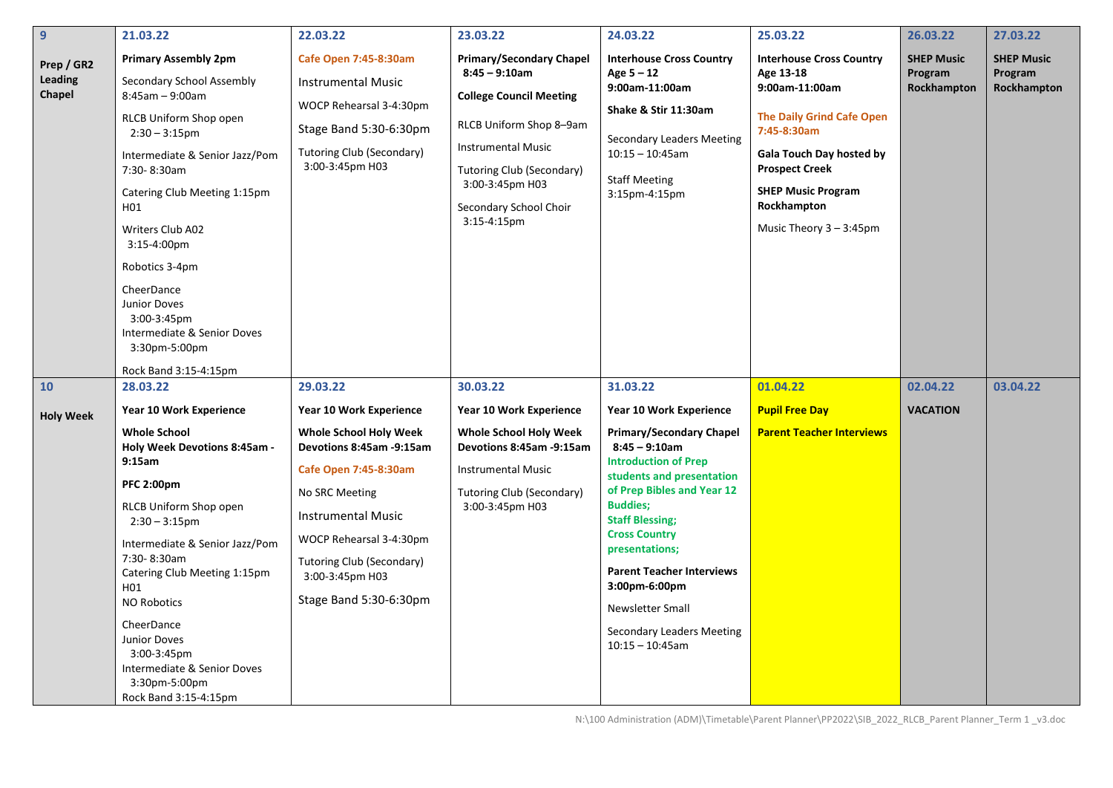| $\mathbf{9}$                    | 21.03.22                                                                                                                                                                                                                                                                                                                                                                                              | 22.03.22                                                                                                                                                                                                                               | 23.03.22                                                                                                                                                                                                                                         | 24.03.22                                                                                                                                                                                                                                                                                                                                                                      | 25.03.22                                                                                                                                                                                                                                                | 26.03.22                                    | 27.03.22                                    |
|---------------------------------|-------------------------------------------------------------------------------------------------------------------------------------------------------------------------------------------------------------------------------------------------------------------------------------------------------------------------------------------------------------------------------------------------------|----------------------------------------------------------------------------------------------------------------------------------------------------------------------------------------------------------------------------------------|--------------------------------------------------------------------------------------------------------------------------------------------------------------------------------------------------------------------------------------------------|-------------------------------------------------------------------------------------------------------------------------------------------------------------------------------------------------------------------------------------------------------------------------------------------------------------------------------------------------------------------------------|---------------------------------------------------------------------------------------------------------------------------------------------------------------------------------------------------------------------------------------------------------|---------------------------------------------|---------------------------------------------|
| Prep / GR2<br>Leading<br>Chapel | <b>Primary Assembly 2pm</b><br>Secondary School Assembly<br>$8:45am - 9:00am$<br>RLCB Uniform Shop open<br>$2:30 - 3:15$ pm<br>Intermediate & Senior Jazz/Pom<br>7:30-8:30am<br>Catering Club Meeting 1:15pm<br>H01<br>Writers Club A02<br>3:15-4:00pm<br>Robotics 3-4pm<br>CheerDance<br><b>Junior Doves</b><br>3:00-3:45pm<br>Intermediate & Senior Doves<br>3:30pm-5:00pm<br>Rock Band 3:15-4:15pm | <b>Cafe Open 7:45-8:30am</b><br><b>Instrumental Music</b><br>WOCP Rehearsal 3-4:30pm<br>Stage Band 5:30-6:30pm<br><b>Tutoring Club (Secondary)</b><br>3:00-3:45pm H03                                                                  | <b>Primary/Secondary Chapel</b><br>$8:45 - 9:10$ am<br><b>College Council Meeting</b><br>RLCB Uniform Shop 8-9am<br><b>Instrumental Music</b><br><b>Tutoring Club (Secondary)</b><br>3:00-3:45pm H03<br>Secondary School Choir<br>$3:15-4:15$ pm | <b>Interhouse Cross Country</b><br>Age 5 - 12<br>9:00am-11:00am<br>Shake & Stir 11:30am<br>Secondary Leaders Meeting<br>$10:15 - 10:45$ am<br><b>Staff Meeting</b><br>3:15pm-4:15pm                                                                                                                                                                                           | <b>Interhouse Cross Country</b><br>Age 13-18<br>9:00am-11:00am<br><b>The Daily Grind Cafe Open</b><br>7:45-8:30am<br><b>Gala Touch Day hosted by</b><br><b>Prospect Creek</b><br><b>SHEP Music Program</b><br>Rockhampton<br>Music Theory $3 - 3:45$ pm | <b>SHEP Music</b><br>Program<br>Rockhampton | <b>SHEP Music</b><br>Program<br>Rockhampton |
| 10                              | 28.03.22                                                                                                                                                                                                                                                                                                                                                                                              | 29.03.22                                                                                                                                                                                                                               | 30.03.22                                                                                                                                                                                                                                         | 31.03.22                                                                                                                                                                                                                                                                                                                                                                      | 01.04.22                                                                                                                                                                                                                                                | 02.04.22                                    | 03.04.22                                    |
|                                 | Year 10 Work Experience                                                                                                                                                                                                                                                                                                                                                                               | Year 10 Work Experience                                                                                                                                                                                                                | Year 10 Work Experience                                                                                                                                                                                                                          | Year 10 Work Experience                                                                                                                                                                                                                                                                                                                                                       | <b>Pupil Free Day</b>                                                                                                                                                                                                                                   | <b>VACATION</b>                             |                                             |
| <b>Holy Week</b>                | <b>Whole School</b><br>Holy Week Devotions 8:45am -<br>9:15am<br><b>PFC 2:00pm</b><br><b>RLCB Uniform Shop open</b><br>$2:30 - 3:15$ pm<br>Intermediate & Senior Jazz/Pom<br>7:30-8:30am<br>Catering Club Meeting 1:15pm<br>H01<br><b>NO Robotics</b><br>CheerDance<br><b>Junior Doves</b><br>3:00-3:45pm<br>Intermediate & Senior Doves<br>3:30pm-5:00pm<br>Rock Band 3:15-4:15pm                    | <b>Whole School Holy Week</b><br>Devotions 8:45am -9:15am<br>Cafe Open 7:45-8:30am<br>No SRC Meeting<br><b>Instrumental Music</b><br>WOCP Rehearsal 3-4:30pm<br>Tutoring Club (Secondary)<br>3:00-3:45pm H03<br>Stage Band 5:30-6:30pm | <b>Whole School Holy Week</b><br>Devotions 8:45am -9:15am<br><b>Instrumental Music</b><br>Tutoring Club (Secondary)<br>3:00-3:45pm H03                                                                                                           | <b>Primary/Secondary Chapel</b><br>$8:45 - 9:10am$<br><b>Introduction of Prep</b><br>students and presentation<br>of Prep Bibles and Year 12<br><b>Buddies;</b><br><b>Staff Blessing;</b><br><b>Cross Country</b><br>presentations;<br><b>Parent Teacher Interviews</b><br>3:00pm-6:00pm<br><b>Newsletter Small</b><br><b>Secondary Leaders Meeting</b><br>$10:15 - 10:45$ am | <b>Parent Teacher Interviews</b>                                                                                                                                                                                                                        |                                             |                                             |

N:\100 Administration (ADM)\Timetable\Parent Planner\PP2022\SIB\_2022\_RLCB\_Parent Planner\_Term 1 \_v3.doc